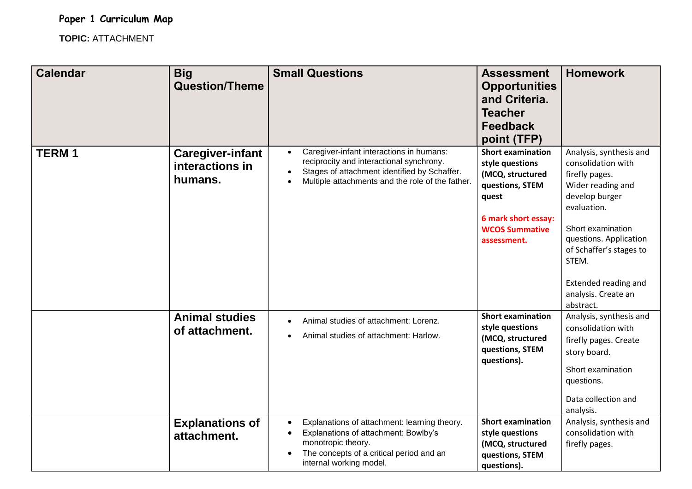**TOPIC:** ATTACHMENT

| <b>Calendar</b> | <b>Big</b><br><b>Question/Theme</b>                   | <b>Small Questions</b>                                                                                                                                                                                                          | <b>Assessment</b><br><b>Opportunities</b><br>and Criteria.<br><b>Teacher</b><br><b>Feedback</b><br>point (TFP)                                             | <b>Homework</b>                                                                                                                                                                                                                                                      |
|-----------------|-------------------------------------------------------|---------------------------------------------------------------------------------------------------------------------------------------------------------------------------------------------------------------------------------|------------------------------------------------------------------------------------------------------------------------------------------------------------|----------------------------------------------------------------------------------------------------------------------------------------------------------------------------------------------------------------------------------------------------------------------|
| <b>TERM1</b>    | <b>Caregiver-infant</b><br>interactions in<br>humans. | Caregiver-infant interactions in humans:<br>$\bullet$<br>reciprocity and interactional synchrony.<br>Stages of attachment identified by Schaffer.<br>$\bullet$<br>Multiple attachments and the role of the father.<br>$\bullet$ | <b>Short examination</b><br>style questions<br>(MCQ, structured<br>questions, STEM<br>quest<br>6 mark short essay:<br><b>WCOS Summative</b><br>assessment. | Analysis, synthesis and<br>consolidation with<br>firefly pages.<br>Wider reading and<br>develop burger<br>evaluation.<br>Short examination<br>questions. Application<br>of Schaffer's stages to<br>STEM.<br>Extended reading and<br>analysis. Create an<br>abstract. |
|                 | <b>Animal studies</b><br>of attachment.               | Animal studies of attachment: Lorenz.<br>Animal studies of attachment: Harlow.                                                                                                                                                  | <b>Short examination</b><br>style questions<br>(MCQ, structured<br>questions, STEM<br>questions).                                                          | Analysis, synthesis and<br>consolidation with<br>firefly pages. Create<br>story board.<br>Short examination<br>questions.<br>Data collection and<br>analysis.                                                                                                        |
|                 | <b>Explanations of</b><br>attachment.                 | Explanations of attachment: learning theory.<br>$\bullet$<br>Explanations of attachment: Bowlby's<br>$\bullet$<br>monotropic theory.<br>The concepts of a critical period and an<br>internal working model.                     | <b>Short examination</b><br>style questions<br>(MCQ, structured<br>questions, STEM<br>questions).                                                          | Analysis, synthesis and<br>consolidation with<br>firefly pages.                                                                                                                                                                                                      |